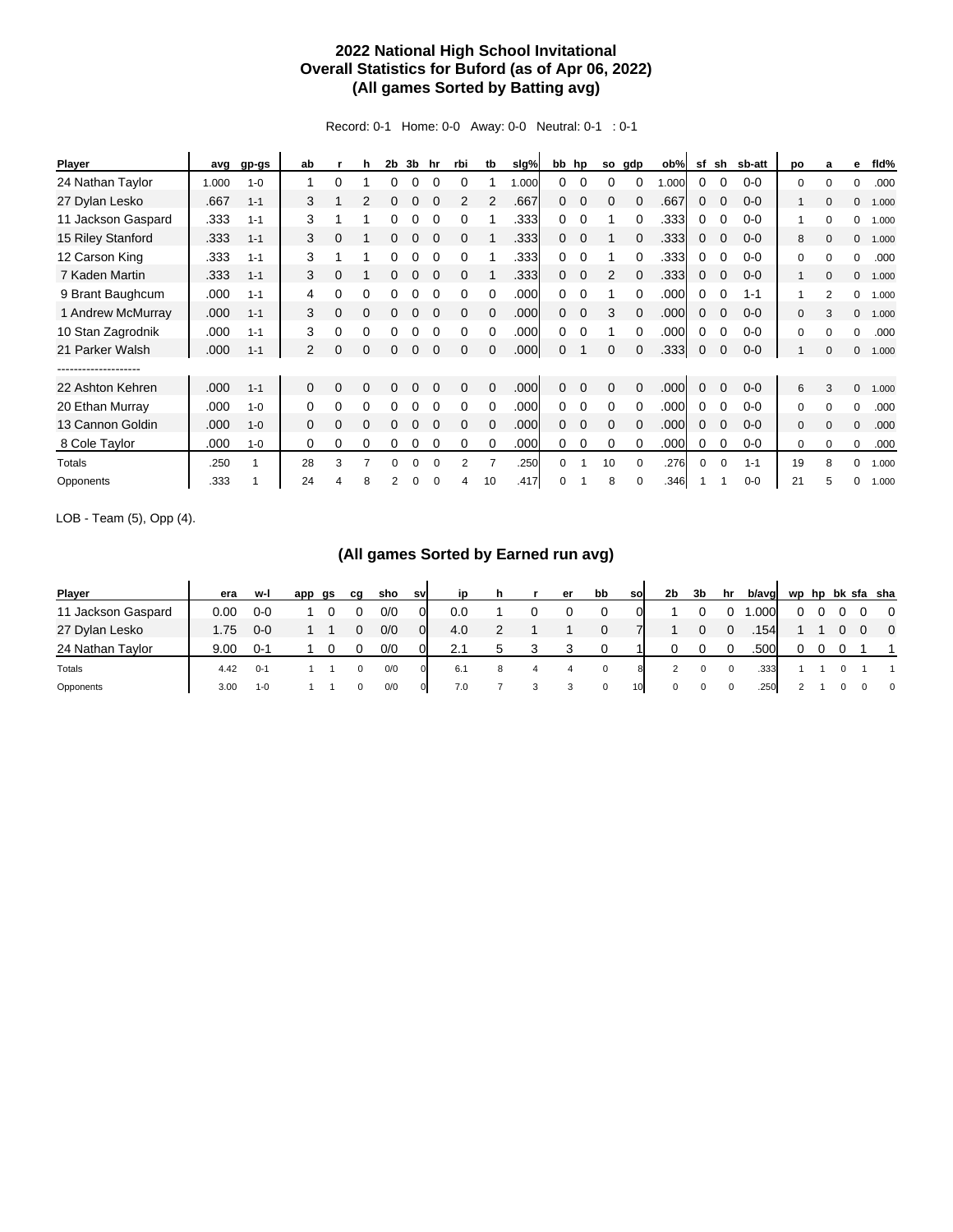## **2022 National High School Invitational Overall Statistics for Buford (as of Apr 06, 2022) (All games Sorted by Batting avg)**

Record: 0-1 Home: 0-0 Away: 0-0 Neutral: 0-1 : 0-1

| <b>Player</b>      | avg   | gp-gs   | ab             |          | h        | 2 <sub>b</sub> | 3b | hr       | rbi            | tb           | slg%  |          | bb hp       | so           | gdp          | ob%  | sf       | sh           | sb-att  | po           | a              | е            | fid%  |
|--------------------|-------|---------|----------------|----------|----------|----------------|----|----------|----------------|--------------|-------|----------|-------------|--------------|--------------|------|----------|--------------|---------|--------------|----------------|--------------|-------|
| 24 Nathan Taylor   | 1.000 | $1 - 0$ |                | 0        |          |                |    |          |                |              | 1.000 | 0        |             |              |              | .000 | 0        |              | $0 - 0$ | $\mathbf 0$  | O              | $\Omega$     | .000  |
| 27 Dylan Lesko     | .667  | $1 - 1$ | 3              |          | 2        |                |    |          | $\overline{2}$ | 2            | .667  | 0        | $\Omega$    | 0            |              | .667 | 0        |              | $0 - 0$ | 1            | $\Omega$       | $\Omega$     | 1.000 |
| 11 Jackson Gaspard | .333  | $1 - 1$ | 3              |          |          |                |    |          | 0              |              | .333  | 0        | $\Omega$    |              | 0            | .333 | 0        |              | $0 - 0$ | 1            | $\Omega$       | 0            | 1.000 |
| 15 Riley Stanford  | .333  | $1 - 1$ | 3              | 0        |          |                | 0  |          | $\Omega$       |              | .333  | 0        | $\Omega$    |              | 0            | .333 | 0        |              | $0 - 0$ | 8            | $\Omega$       | $\mathbf{0}$ | 1.000 |
| 12 Carson King     | .333  | $1 - 1$ | 3              |          |          |                |    |          | $\Omega$       |              | .333  | 0        | $\Omega$    |              |              | .333 | 0        |              | $0 - 0$ | $\Omega$     | $\Omega$       | $\Omega$     | .000  |
| 7 Kaden Martin     | .333  | $1 - 1$ | 3              | 0        |          |                |    |          | $\Omega$       |              | .333  | 0        | $\Omega$    | 2            | $\Omega$     | .333 | 0        |              | $0 - 0$ | 1            | $\Omega$       | $\Omega$     | 1.000 |
| 9 Brant Baughcum   | .000  | $1 - 1$ | 4              | 0        | O        |                |    |          | 0              |              | .000  | 0        |             |              |              | .000 | 0        |              | $1 - 1$ |              | $\mathfrak{p}$ | 0            | 1.000 |
| 1 Andrew McMurray  | .000  | $1 - 1$ | 3              | 0        | 0        |                |    |          | 0              |              | .000  | $\Omega$ | $\mathbf 0$ | 3            | 0            | .000 | 0        |              | $0 - 0$ | $\mathbf 0$  |                | $\mathbf{0}$ | 1.000 |
| 10 Stan Zagrodnik  | .000  | $1 - 1$ | 3              | 0        | 0        |                |    |          | 0              |              | .000  | 0        |             |              | 0            | .000 | 0        |              | $0 - 0$ | 0            | $\Omega$       | 0            | .000  |
| 21 Parker Walsh    | .000  | $1 - 1$ | $\overline{2}$ | 0        | 0        |                | 0  |          | $\Omega$       |              | .000  | 0        |             | $\Omega$     |              | .333 | 0        | 0            | $0 - 0$ |              | $\Omega$       | $\mathbf{0}$ | 1.000 |
|                    |       |         |                |          |          |                |    |          |                |              |       |          |             |              |              |      |          |              |         |              |                |              |       |
| 22 Ashton Kehren   | .000  | $1 - 1$ | $\mathbf{0}$   | 0        | 0        | 0              | 0  | $\Omega$ | $\mathbf{0}$   | $\mathbf{0}$ | .000  | 0        | $\Omega$    | $\mathbf{0}$ | $\mathbf{0}$ | .000 | 0        | $\mathbf{0}$ | $0 - 0$ | 6            | 3              | $\mathbf{0}$ | 1.000 |
| 20 Ethan Murray    | .000  | $1 - 0$ | 0              | 0        | 0        | 0              | 0  | $\Omega$ | $\Omega$       | $\Omega$     | .000  | 0        | 0           | 0            | $\Omega$     | .000 | 0        | $\Omega$     | $0 - 0$ | 0            | 0              | $\Omega$     | .000  |
| 13 Cannon Goldin   | .000  | $1 - 0$ | $\Omega$       | $\Omega$ | $\Omega$ | 0              | 0  | $\Omega$ | $\Omega$       | $\Omega$     | .000  | 0        | $\Omega$    | 0            | 0            | .000 | 0        | $\Omega$     | $0 - 0$ | $\mathbf{0}$ | $\Omega$       | $\Omega$     | .000  |
| 8 Cole Taylor      | .000  | $1 - 0$ | 0              | 0        | 0        |                | 0  |          | 0              | $\Omega$     | .000  | 0        | 0           | 0            | 0            | .000 | 0        | $\Omega$     | $0 - 0$ | $\mathbf 0$  | $\Omega$       | 0            | .000  |
| Totals             | .250  | 1       | 28             | 3        |          | O              | 0  |          | 2              |              | .250  | 0        |             | 10           | 0            | .276 | $\Omega$ | $\Omega$     | $1 - 1$ | 19           | 8              | $\Omega$     | 1.000 |
| Opponents          | .333  |         | 24             |          | 8        | $\mathfrak{p}$ | 0  |          |                | 10           | .417  | 0        |             | 8            | 0            | .346 |          |              | $0 - 0$ | 21           |                | 0            | 1.000 |

LOB - Team (5), Opp (4).

## **(All games Sorted by Earned run avg)**

| Player             | era  | w-l     | app | gs | cq | sho | svl | in  |   |   | er | bb           | so | 2b | 3b | hr       | b/avg |    |  | wp hp bk sfa sha         |
|--------------------|------|---------|-----|----|----|-----|-----|-----|---|---|----|--------------|----|----|----|----------|-------|----|--|--------------------------|
| 11 Jackson Gaspard | 0.00 | $0-0$   |     |    |    | 0/0 | 01  | 0.0 |   |   |    |              |    |    |    |          | .000  | 0. |  | $\overline{\phantom{0}}$ |
| 27 Dylan Lesko     | 1.75 | $0 - 0$ |     |    |    | 0/0 | 01  | 4.0 |   |   |    |              |    |    |    | $\Omega$ | .154  |    |  | $\overline{\mathbf{0}}$  |
| 24 Nathan Taylor   | 9.00 | በ-1     |     |    |    | 0/0 |     |     |   |   |    |              |    |    |    |          | .500  |    |  |                          |
| Totals             | 4.42 | $0 - 1$ |     |    |    | 0/0 | 0   | 6.1 | 8 | 4 | 4  | $\mathbf{0}$ |    |    | 0  | 0        | .333  |    |  |                          |
| Opponents          | 3.00 | $1 - 0$ |     |    |    | 0/0 | 0   | 7.0 |   |   |    | $\mathbf 0$  | 10 | 0  |    | 0        | .250  |    |  | $\overline{0}$           |